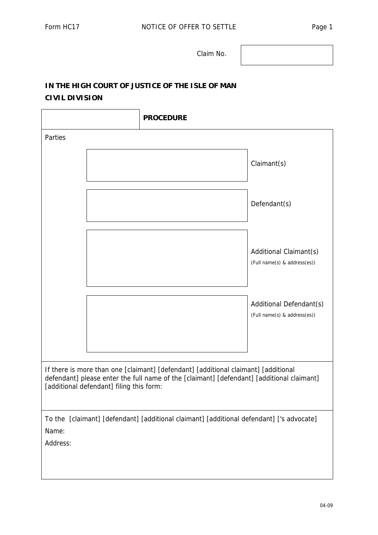Claim No.

## **IN THE HIGH COURT OF JUSTICE OF THE ISLE OF MAN CIVIL DIVISION**

|                                                                                                                                                                                                                             | <b>PROCEDURE</b>                                        |  |  |  |  |
|-----------------------------------------------------------------------------------------------------------------------------------------------------------------------------------------------------------------------------|---------------------------------------------------------|--|--|--|--|
| Parties                                                                                                                                                                                                                     |                                                         |  |  |  |  |
|                                                                                                                                                                                                                             | Claimant(s)                                             |  |  |  |  |
|                                                                                                                                                                                                                             | Defendant(s)                                            |  |  |  |  |
|                                                                                                                                                                                                                             | Additional Claimant(s)<br>(Full name(s) & address(es))  |  |  |  |  |
|                                                                                                                                                                                                                             | Additional Defendant(s)<br>(Full name(s) & address(es)) |  |  |  |  |
|                                                                                                                                                                                                                             |                                                         |  |  |  |  |
| If there is more than one [claimant] [defendant] [additional claimant] [additional<br>defendant] please enter the full name of the [claimant] [defendant] [additional claimant]<br>[additional defendant] filing this form: |                                                         |  |  |  |  |
| To the [claimant] [defendant] [additional claimant] [additional defendant] ['s advocate]                                                                                                                                    |                                                         |  |  |  |  |
| Name:<br>Address:                                                                                                                                                                                                           |                                                         |  |  |  |  |
|                                                                                                                                                                                                                             |                                                         |  |  |  |  |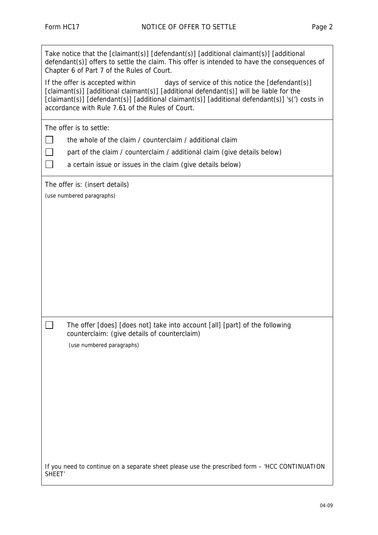| Take notice that the [claimant(s)] [defendant(s)] [additional claimant(s)] [additional<br>defendant(s)] offers to settle the claim. This offer is intended to have the consequences of<br>Chapter 6 of Part 7 of the Rules of Court.                                                                                                  |  |  |  |  |  |
|---------------------------------------------------------------------------------------------------------------------------------------------------------------------------------------------------------------------------------------------------------------------------------------------------------------------------------------|--|--|--|--|--|
| If the offer is accepted within<br>days of service of this notice the [defendant(s)]<br>[claimant(s)] [additional claimant(s)] [additional defendant(s)] will be liable for the<br>[claimant(s)] [defendant(s)] [additional claimant(s)] [additional defendant(s)] 's(') costs in<br>accordance with Rule 7.61 of the Rules of Court. |  |  |  |  |  |
| The offer is to settle:                                                                                                                                                                                                                                                                                                               |  |  |  |  |  |
| the whole of the claim / counterclaim / additional claim                                                                                                                                                                                                                                                                              |  |  |  |  |  |
| part of the claim / counterclaim / additional claim (give details below)                                                                                                                                                                                                                                                              |  |  |  |  |  |
| a certain issue or issues in the claim (give details below)                                                                                                                                                                                                                                                                           |  |  |  |  |  |
| The offer is: (insert details)                                                                                                                                                                                                                                                                                                        |  |  |  |  |  |
| (use numbered paragraphs)                                                                                                                                                                                                                                                                                                             |  |  |  |  |  |
|                                                                                                                                                                                                                                                                                                                                       |  |  |  |  |  |
|                                                                                                                                                                                                                                                                                                                                       |  |  |  |  |  |
|                                                                                                                                                                                                                                                                                                                                       |  |  |  |  |  |
|                                                                                                                                                                                                                                                                                                                                       |  |  |  |  |  |
|                                                                                                                                                                                                                                                                                                                                       |  |  |  |  |  |
|                                                                                                                                                                                                                                                                                                                                       |  |  |  |  |  |
|                                                                                                                                                                                                                                                                                                                                       |  |  |  |  |  |
|                                                                                                                                                                                                                                                                                                                                       |  |  |  |  |  |
| The offer [does] [does not] take into account [all] [part] of the following                                                                                                                                                                                                                                                           |  |  |  |  |  |
| counterclaim: (give details of counterclaim)                                                                                                                                                                                                                                                                                          |  |  |  |  |  |
| (use numbered paragraphs)                                                                                                                                                                                                                                                                                                             |  |  |  |  |  |
|                                                                                                                                                                                                                                                                                                                                       |  |  |  |  |  |
|                                                                                                                                                                                                                                                                                                                                       |  |  |  |  |  |
|                                                                                                                                                                                                                                                                                                                                       |  |  |  |  |  |
|                                                                                                                                                                                                                                                                                                                                       |  |  |  |  |  |
|                                                                                                                                                                                                                                                                                                                                       |  |  |  |  |  |
|                                                                                                                                                                                                                                                                                                                                       |  |  |  |  |  |
|                                                                                                                                                                                                                                                                                                                                       |  |  |  |  |  |
|                                                                                                                                                                                                                                                                                                                                       |  |  |  |  |  |
| If you need to continue on a separate sheet please use the prescribed form - 'HCC CONTINUATION<br>SHEET <sup>'</sup>                                                                                                                                                                                                                  |  |  |  |  |  |